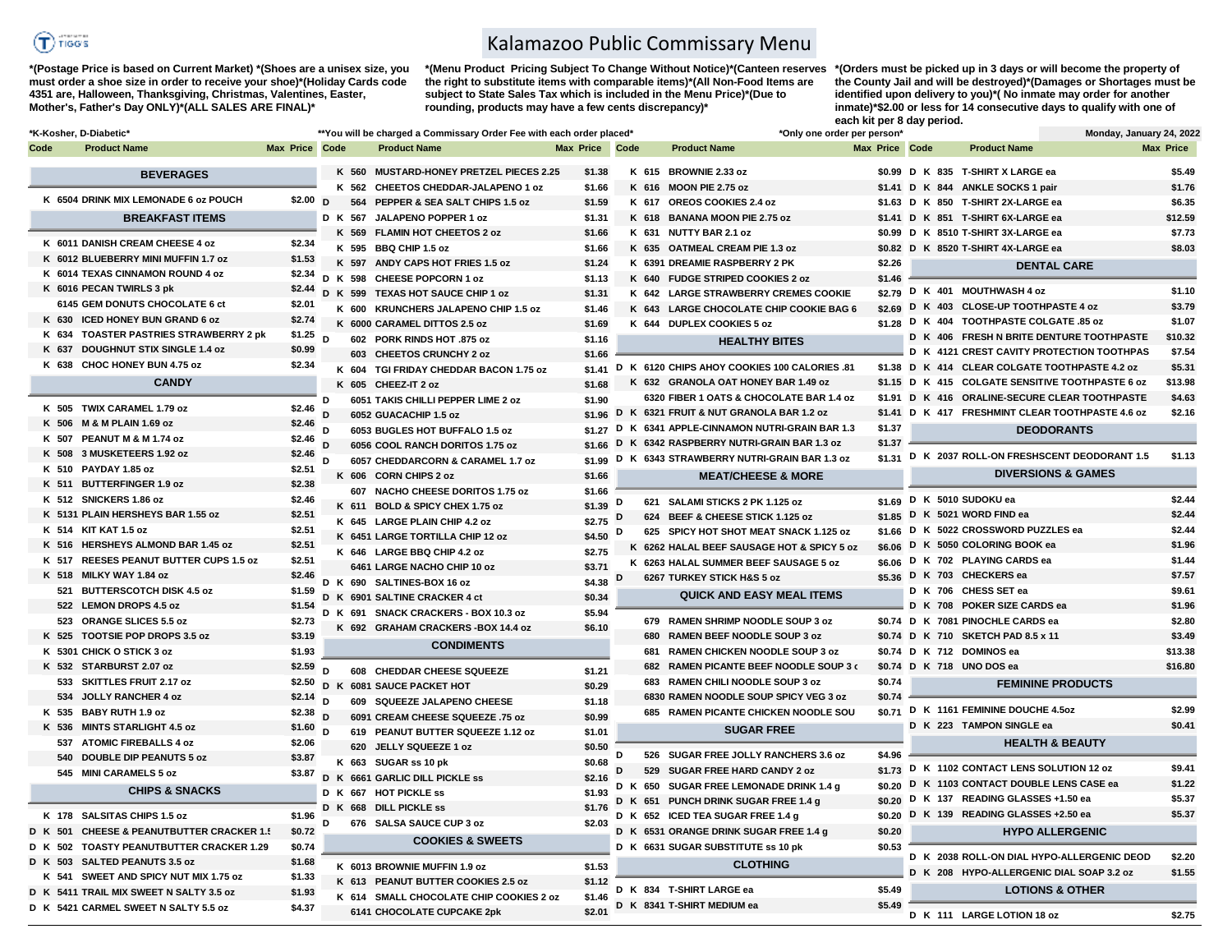

**\*(Postage Price is based on Current Market) \*(Shoes are a unisex size, you must order a shoe size in order to receive your shoe)\*(Holiday Cards code 4351 are, Halloween, Thanksgiving, Christmas, Valentines, Easter, Mother's, Father's Day ONLY)\*(ALL SALES ARE FINAL)\***

Kalamazoo Public Commissary Menu

**\*(Menu Product Pricing Subject To Change Without Notice)\*(Canteen reserves the right to substitute items with comparable items)\*(All Non-Food Items are subject to State Sales Tax which is included in the Menu Price)\*(Due to rounding, products may have a few cents discrepancy)\*** 

**\*(Orders must be picked up in 3 days or will become the property of the County Jail and will be destroyed)\*(Damages or Shortages must be identified upon delivery to you)\*( No inmate may order for another inmate)\*\$2.00 or less for 14 consecutive days to qualify with one of each kit per 8 day period.**

**D K 111 LARGE LOTION 18 oz \$2.75**

|         | *K-Kosher, D-Diabetic*                       |                       |   | **You will be charged a Commissary Order Fee with each order placed* |                       |   |     | *Only one order per person*                         |                | Monday, January 24, 2022                         |                  |
|---------|----------------------------------------------|-----------------------|---|----------------------------------------------------------------------|-----------------------|---|-----|-----------------------------------------------------|----------------|--------------------------------------------------|------------------|
| Code    | <b>Product Name</b>                          | Max Price Code        |   | <b>Product Name</b>                                                  | <b>Max Price Code</b> |   |     | <b>Product Name</b>                                 | Max Price Code | <b>Product Name</b>                              | Max Price        |
|         | <b>BEVERAGES</b>                             |                       |   | K 560 MUSTARD-HONEY PRETZEL PIECES 2.25                              | \$1.38                |   |     | K 615 BROWNIE 2.33 oz                               |                | \$0.99 D K 835 T-SHIRT X LARGE ea                | \$5.49           |
|         |                                              |                       |   | K 562<br><b>CHEETOS CHEDDAR-JALAPENO 1 oz</b>                        | \$1.66                |   |     | K 616 MOON PIE 2.75 oz                              |                | \$1.41 D K 844 ANKLE SOCKS 1 pair                | \$1.76           |
|         | K 6504 DRINK MIX LEMONADE 6 oz POUCH         | \$2.00 $D$            |   | 564<br>PEPPER & SEA SALT CHIPS 1.5 oz                                | \$1.59                |   |     | K 617 OREOS COOKIES 2.4 oz                          |                | \$1.63 D K 850 T-SHIRT 2X-LARGE ea               | \$6.35           |
|         | <b>BREAKFAST ITEMS</b>                       |                       |   | D K 567 JALAPENO POPPER 1 oz                                         | \$1.31                |   |     | K 618 BANANA MOON PIE 2.75 oz                       |                | \$1.41 D K 851 T-SHIRT 6X-LARGE ea               | \$12.59          |
|         |                                              |                       |   | K 569 FLAMIN HOT CHEETOS 2 oz                                        | \$1.66                |   |     | K 631 NUTTY BAR 2.1 oz                              |                | \$0.99 D K 8510 T-SHIRT 3X-LARGE ea              | \$7.73           |
|         | K 6011 DANISH CREAM CHEESE 4 oz              | \$2.34                |   | K 595 BBQ CHIP 1.5 oz                                                | \$1.66                |   |     | K 635 OATMEAL CREAM PIE 1.3 oz                      |                | \$0.82 D K 8520 T-SHIRT 4X-LARGE ea              | \$8.03           |
|         | K 6012 BLUEBERRY MINI MUFFIN 1.7 oz          | \$1.53                |   | K 597 ANDY CAPS HOT FRIES 1.5 oz                                     | \$1.24                |   |     | K 6391 DREAMIE RASPBERRY 2 PK                       | \$2.26         | <b>DENTAL CARE</b>                               |                  |
|         | K 6014 TEXAS CINNAMON ROUND 4 oz             |                       |   | \$2.34 D K 598 CHEESE POPCORN 1 oz                                   | \$1.13                |   |     | K 640 FUDGE STRIPED COOKIES 2 oz                    | \$1.46         |                                                  |                  |
|         | K 6016 PECAN TWIRLS 3 pk                     | \$2.44                |   | D K 599 TEXAS HOT SAUCE CHIP 1 oz                                    | \$1.31                |   |     | K 642 LARGE STRAWBERRY CREMES COOKIE                |                | \$2.79 D K 401 MOUTHWASH 4 oz                    | \$1.10           |
|         | 6145 GEM DONUTS CHOCOLATE 6 ct               | \$2.01                |   | K 600 KRUNCHERS JALAPENO CHIP 1.5 oz                                 | \$1.46                |   |     | K 643 LARGE CHOCOLATE CHIP COOKIE BAG 6             | \$2.69         | D K 403 CLOSE-UP TOOTHPASTE 4 oz                 | \$3.79           |
|         | K 630 ICED HONEY BUN GRAND 6 oz              | \$2.74                |   | K 6000 CARAMEL DITTOS 2.5 oz                                         | \$1.69                |   |     | K 644 DUPLEX COOKIES 5 oz                           |                | \$1.28 D K 404 TOOTHPASTE COLGATE .85 oz         | \$1.07           |
|         | K 634 TOASTER PASTRIES STRAWBERRY 2 pk       | \$1.25 $\overline{D}$ |   | 602 PORK RINDS HOT .875 oz                                           | \$1.16                |   |     | <b>HEALTHY BITES</b>                                |                | D K 406 FRESH N BRITE DENTURE TOOTHPASTE         | \$10.32          |
|         | K 637 DOUGHNUT STIX SINGLE 1.4 oz            | \$0.99                |   | 603 CHEETOS CRUNCHY 2 oz                                             | \$1.66                |   |     |                                                     |                | D K 4121 CREST CAVITY PROTECTION TOOTHPAS        | \$7.54           |
|         | K 638 CHOC HONEY BUN 4.75 oz                 | \$2.34                |   | K 604 TGI FRIDAY CHEDDAR BACON 1.75 oz                               |                       |   |     | \$1.41 D K 6120 CHIPS AHOY COOKIES 100 CALORIES .81 |                | \$1.38 D K 414 CLEAR COLGATE TOOTHPASTE 4.2 oz   | \$5.31           |
|         | <b>CANDY</b>                                 |                       |   | K 605 CHEEZ-IT 2 oz                                                  | \$1.68                |   |     | K 632 GRANOLA OAT HONEY BAR 1.49 oz                 |                | \$1.15 D K 415 COLGATE SENSITIVE TOOTHPASTE 6 oz | \$13.98          |
|         |                                              |                       | D | 6051 TAKIS CHILLI PEPPER LIME 2 oz                                   | \$1.90                |   |     | 6320 FIBER 1 OATS & CHOCOLATE BAR 1.4 oz            |                | \$1.91 D K 416 ORALINE-SECURE CLEAR TOOTHPASTE   | \$4.63           |
|         | K 505 TWIX CARAMEL 1.79 oz                   | \$2.46                |   | 6052 GUACACHIP 1.5 oz                                                |                       |   |     | \$1.96 D K 6321 FRUIT & NUT GRANOLA BAR 1.2 oz      |                | \$1.41 D K 417 FRESHMINT CLEAR TOOTHPASTE 4.6 oz | \$2.16           |
|         | K 506 M & M PLAIN 1.69 oz                    | \$2.46                | D | 6053 BUGLES HOT BUFFALO 1.5 oz                                       | $$1.27$ D             |   |     | K 6341 APPLE-CINNAMON NUTRI-GRAIN BAR 1.3           | \$1.37         | <b>DEODORANTS</b>                                |                  |
|         | K 507 PEANUT M & M 1.74 oz                   | \$2.46                |   | 6056 COOL RANCH DORITOS 1.75 oz                                      | \$1.66 D              |   |     | K 6342 RASPBERRY NUTRI-GRAIN BAR 1.3 oz             | \$1.37         |                                                  |                  |
|         | K 508 3 MUSKETEERS 1.92 oz                   | \$2.46                | D | 6057 CHEDDARCORN & CARAMEL 1.7 oz                                    | \$1.99                | D |     | K 6343 STRAWBERRY NUTRI-GRAIN BAR 1.3 oz            | \$1.31         | D K 2037 ROLL-ON FRESHSCENT DEODORANT 1.5        | \$1.13           |
|         | K 510 PAYDAY 1.85 oz                         | \$2.51                |   | K 606 CORN CHIPS 2 oz                                                | \$1.66                |   |     | <b>MEAT/CHEESE &amp; MORE</b>                       |                | <b>DIVERSIONS &amp; GAMES</b>                    |                  |
|         | K 511 BUTTERFINGER 1.9 oz                    | \$2.38                |   | 607 NACHO CHEESE DORITOS 1.75 oz                                     | \$1.66                |   |     |                                                     |                |                                                  |                  |
|         | K 512 SNICKERS 1.86 oz                       | \$2.46                |   | K 611 BOLD & SPICY CHEX 1.75 oz                                      | \$1.39 D              |   |     | 621 SALAMI STICKS 2 PK 1.125 oz                     |                | \$1.69 D K 5010 SUDOKU ea                        | \$2.44           |
|         | K 5131 PLAIN HERSHEYS BAR 1.55 oz            | \$2.51                |   | K 645 LARGE PLAIN CHIP 4.2 oz                                        | $$2.75$ D             |   |     | 624 BEEF & CHEESE STICK 1.125 oz                    |                | \$1.85 D K 5021 WORD FIND ea                     | \$2.44           |
|         | K 514 KIT KAT 1.5 oz                         | \$2.51                |   | K 6451 LARGE TORTILLA CHIP 12 oz                                     | \$4.50 D              |   |     | 625 SPICY HOT SHOT MEAT SNACK 1.125 oz              | \$1.66         | D K 5022 CROSSWORD PUZZLES ea                    | \$2.44           |
|         | K 516 HERSHEYS ALMOND BAR 1.45 oz            | \$2.51                |   | K 646 LARGE BBQ CHIP 4.2 oz                                          | \$2.75                |   |     | K 6262 HALAL BEEF SAUSAGE HOT & SPICY 5 oz          |                | \$6.06 D K 5050 COLORING BOOK ea                 | \$1.96           |
|         | K 517 REESES PEANUT BUTTER CUPS 1.5 oz       | \$2.51                |   | 6461 LARGE NACHO CHIP 10 oz                                          | \$3.71                |   |     | K 6263 HALAL SUMMER BEEF SAUSAGE 5 oz               |                | \$6.06 D K 702 PLAYING CARDS ea                  | \$1.44           |
|         | K 518 MILKY WAY 1.84 oz                      | \$2.46                |   | D K 690 SALTINES-BOX 16 oz                                           | \$4.38 D              |   |     | 6267 TURKEY STICK H&S 5 oz                          |                | \$5.36 D K 703 CHECKERS ea                       | \$7.57           |
|         | 521 BUTTERSCOTCH DISK 4.5 oz                 | \$1.59                |   | D K 6901 SALTINE CRACKER 4 ct                                        | \$0.34                |   |     | <b>QUICK AND EASY MEAL ITEMS</b>                    |                | D K 706 CHESS SET ea                             | \$9.61           |
|         | 522 LEMON DROPS 4.5 oz                       | \$1.54                |   | D K 691 SNACK CRACKERS - BOX 10.3 oz                                 | \$5.94                |   |     |                                                     |                | D K 708 POKER SIZE CARDS ea                      | \$1.96           |
|         | 523 ORANGE SLICES 5.5 oz                     | \$2.73                |   | K 692 GRAHAM CRACKERS-BOX 14.4 oz                                    | \$6.10                |   |     | 679 RAMEN SHRIMP NOODLE SOUP 3 oz                   |                | \$0.74 D K 7081 PINOCHLE CARDS ea                | \$2.80           |
|         | K 525 TOOTSIE POP DROPS 3.5 oz               | \$3.19                |   | <b>CONDIMENTS</b>                                                    |                       |   | 680 | <b>RAMEN BEEF NOODLE SOUP 3 oz</b>                  |                | \$0.74 D K 710 SKETCH PAD 8.5 x 11               | \$3.49           |
|         | K 5301 CHICK O STICK 3 oz                    | \$1.93                |   |                                                                      |                       |   | 681 | RAMEN CHICKEN NOODLE SOUP 3 oz                      |                | \$0.74 D K 712 DOMINOS ea                        | \$13.38          |
|         | K 532 STARBURST 2.07 oz                      | $$2.59$ D             |   | 608 CHEDDAR CHEESE SQUEEZE                                           | \$1.21                |   |     | 682 RAMEN PICANTE BEEF NOODLE SOUP 3 (              |                | \$0.74 D K 718 UNO DOS ea                        | \$16.80          |
|         | 533 SKITTLES FRUIT 2.17 oz                   |                       |   | \$2.50 D K 6081 SAUCE PACKET HOT                                     | \$0.29                |   |     | 683 RAMEN CHILI NOODLE SOUP 3 oz                    | \$0.74         | <b>FEMININE PRODUCTS</b>                         |                  |
|         | 534 JOLLY RANCHER 4 oz                       | $$2.14$ D             |   | 609 SQUEEZE JALAPENO CHEESE                                          | \$1.18                |   |     | 6830 RAMEN NOODLE SOUP SPICY VEG 3 oz               | \$0.74         |                                                  |                  |
|         | K 535 BABY RUTH 1.9 oz                       | $$2.38$ D             |   | 6091 CREAM CHEESE SQUEEZE .75 oz                                     | \$0.99                |   |     | 685 RAMEN PICANTE CHICKEN NOODLE SOU                |                | \$0.71 D K 1161 FEMININE DOUCHE 4.5oz            | \$2.99           |
|         | K 536 MINTS STARLIGHT 4.5 oz                 | \$1.60 $_D$           |   | 619 PEANUT BUTTER SQUEEZE 1.12 oz                                    | \$1.01                |   |     | <b>SUGAR FREE</b>                                   |                | D K 223 TAMPON SINGLE ea                         | \$0.41           |
|         | 537 ATOMIC FIREBALLS 4 oz                    | \$2.06                |   | 620 JELLY SQUEEZE 1 oz                                               | \$0.50                |   |     |                                                     |                | <b>HEALTH &amp; BEAUTY</b>                       |                  |
|         | 540 DOUBLE DIP PEANUTS 5 oz                  | \$3.87                |   | K 663 SUGAR ss 10 pk                                                 | \$0.68                |   |     | 526 SUGAR FREE JOLLY RANCHERS 3.6 oz                | \$4.96         |                                                  |                  |
|         | 545 MINI CARAMELS 5 oz                       |                       |   | \$3.87 D K 6661 GARLIC DILL PICKLE ss                                | \$2.16                |   |     | 529 SUGAR FREE HARD CANDY 2 oz                      |                | \$1.73 D K 1102 CONTACT LENS SOLUTION 12 oz      | \$9.41           |
|         | <b>CHIPS &amp; SNACKS</b>                    |                       |   | D K 667 HOT PICKLE ss                                                | \$1.93                |   |     | D K 650 SUGAR FREE LEMONADE DRINK 1.4 g             | \$0.20         | D K 1103 CONTACT DOUBLE LENS CASE ea             | \$1.22           |
|         |                                              |                       |   | D K 668 DILL PICKLE ss                                               | \$1.76                |   |     | D K 651 PUNCH DRINK SUGAR FREE 1.4 g                | \$0.20         | D K 137 READING GLASSES +1.50 ea                 | \$5.37<br>\$5.37 |
|         | K 178 SALSITAS CHIPS 1.5 oz                  | \$1.96                | D | 676 SALSA SAUCE CUP 3 oz                                             | \$2.03                |   |     | D K 652 ICED TEA SUGAR FREE 1.4 g                   | \$0.20         | D K 139 READING GLASSES +2.50 ea                 |                  |
| D K 501 | <b>CHEESE &amp; PEANUTBUTTER CRACKER 1.5</b> | \$0.72                |   | <b>COOKIES &amp; SWEETS</b>                                          |                       |   |     | D K 6531 ORANGE DRINK SUGAR FREE 1.4 g              | \$0.20         | <b>HYPO ALLERGENIC</b>                           |                  |
|         | D K 502 TOASTY PEANUTBUTTER CRACKER 1.29     | \$0.74                |   |                                                                      |                       |   |     | D K 6631 SUGAR SUBSTITUTE ss 10 pk                  | \$0.53         | D K 2038 ROLL-ON DIAL HYPO-ALLERGENIC DEOD       | \$2.20           |
|         | D K 503 SALTED PEANUTS 3.5 oz                | \$1.68                |   | K 6013 BROWNIE MUFFIN 1.9 oz                                         | \$1.53                |   |     | <b>CLOTHING</b>                                     |                | D K 208 HYPO-ALLERGENIC DIAL SOAP 3.2 oz         | \$1.55           |
|         | K 541 SWEET AND SPICY NUT MIX 1.75 oz        | \$1.33                |   | K 613 PEANUT BUTTER COOKIES 2.5 oz                                   | \$1.12                |   |     | D K 834 T-SHIRT LARGE ea                            | \$5.49         | <b>LOTIONS &amp; OTHER</b>                       |                  |
|         | D K 5411 TRAIL MIX SWEET N SALTY 3.5 oz      | \$1.93                |   | K 614 SMALL CHOCOLATE CHIP COOKIES 2 oz                              | \$1.46                |   |     |                                                     |                |                                                  |                  |
|         | D K 5421 CARMEL SWEET N SALTY 5.5 oz         | \$4.37                |   | 6141 CHOCOLATE CUPCAKE 2pk                                           | \$2.01                |   |     | D K 8341 T-SHIRT MEDIUM ea                          | \$5.49         | D K 111 IADCE IOTION 19 oz                       | <b>42.75</b>     |